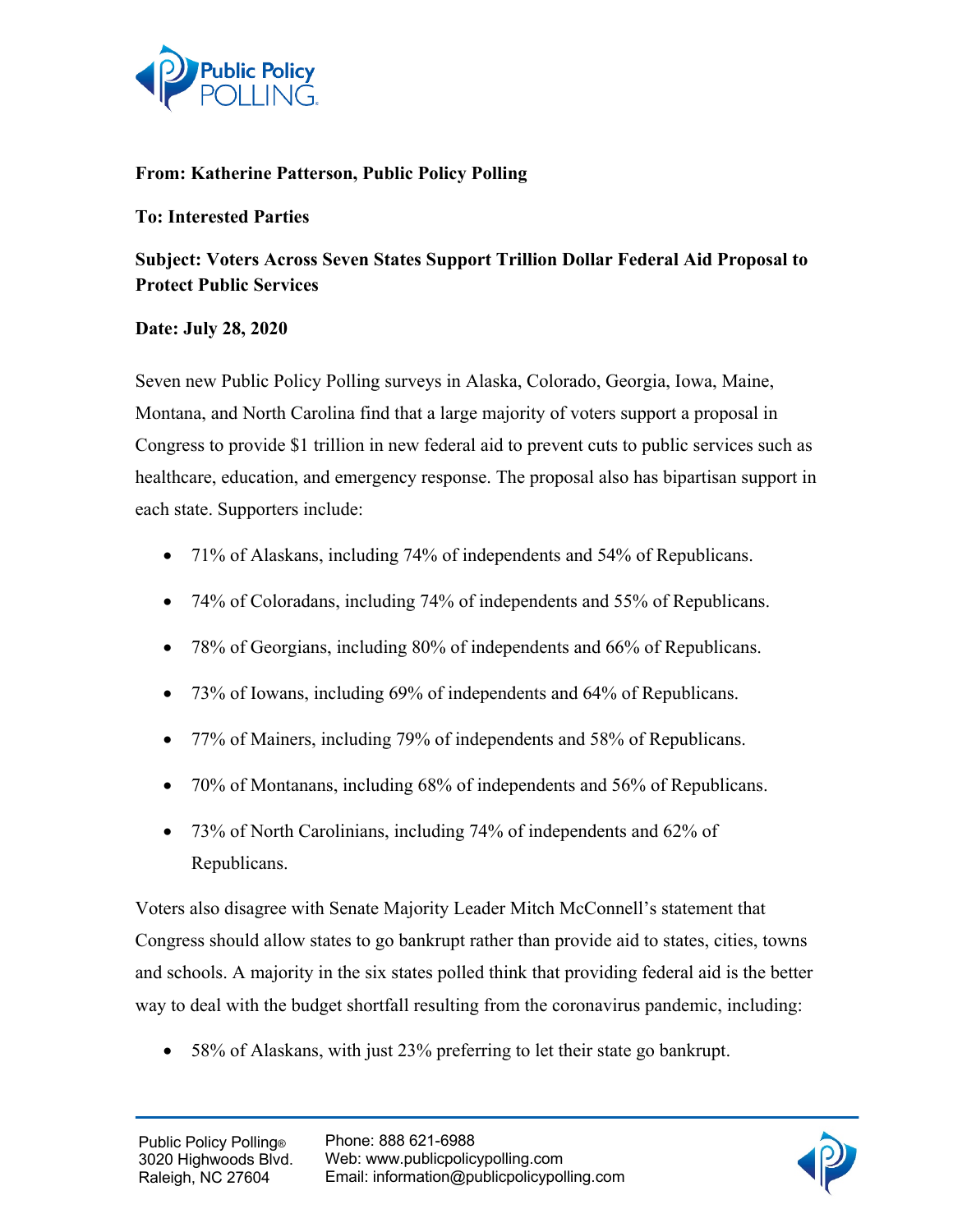

## **From: Katherine Patterson, Public Policy Polling**

## **To: Interested Parties**

## **Subject: Voters Across Seven States Support Trillion Dollar Federal Aid Proposal to Protect Public Services**

## **Date: July 28, 2020**

Seven new Public Policy Polling surveys in Alaska, Colorado, Georgia, Iowa, Maine, Montana, and North Carolina find that a large majority of voters support a proposal in Congress to provide \$1 trillion in new federal aid to prevent cuts to public services such as healthcare, education, and emergency response. The proposal also has bipartisan support in each state. Supporters include:

- 71% of Alaskans, including 74% of independents and 54% of Republicans.
- 74% of Coloradans, including 74% of independents and 55% of Republicans.
- 78% of Georgians, including 80% of independents and 66% of Republicans.
- 73% of Iowans, including 69% of independents and 64% of Republicans.
- 77% of Mainers, including 79% of independents and 58% of Republicans.
- 70% of Montanans, including 68% of independents and 56% of Republicans.
- 73% of North Carolinians, including 74% of independents and 62% of Republicans.

Voters also disagree with Senate Majority Leader Mitch McConnell's statement that Congress should allow states to go bankrupt rather than provide aid to states, cities, towns and schools. A majority in the six states polled think that providing federal aid is the better way to deal with the budget shortfall resulting from the coronavirus pandemic, including:

• 58% of Alaskans, with just 23% preferring to let their state go bankrupt.

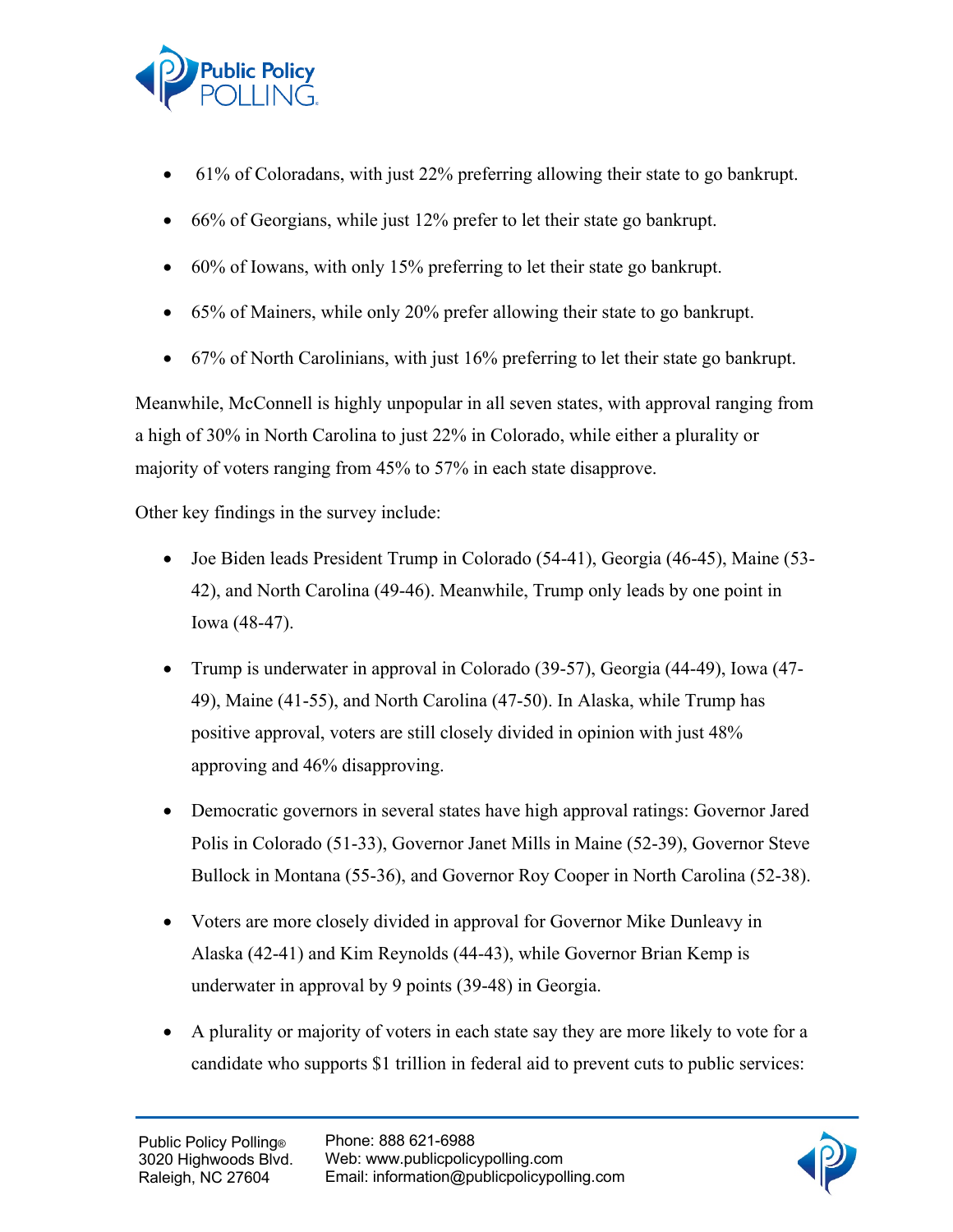

- 61% of Coloradans, with just 22% preferring allowing their state to go bankrupt.
- 66% of Georgians, while just 12% prefer to let their state go bankrupt.
- 60% of Iowans, with only 15% preferring to let their state go bankrupt.
- 65% of Mainers, while only 20% prefer allowing their state to go bankrupt.
- 67% of North Carolinians, with just 16% preferring to let their state go bankrupt.

Meanwhile, McConnell is highly unpopular in all seven states, with approval ranging from a high of 30% in North Carolina to just 22% in Colorado, while either a plurality or majority of voters ranging from 45% to 57% in each state disapprove.

Other key findings in the survey include:

- Joe Biden leads President Trump in Colorado (54-41), Georgia (46-45), Maine (53-42), and North Carolina (49-46). Meanwhile, Trump only leads by one point in Iowa (48-47).
- Trump is underwater in approval in Colorado (39-57), Georgia (44-49), Iowa (47- 49), Maine (41-55), and North Carolina (47-50). In Alaska, while Trump has positive approval, voters are still closely divided in opinion with just 48% approving and 46% disapproving.
- Democratic governors in several states have high approval ratings: Governor Jared Polis in Colorado (51-33), Governor Janet Mills in Maine (52-39), Governor Steve Bullock in Montana (55-36), and Governor Roy Cooper in North Carolina (52-38).
- Voters are more closely divided in approval for Governor Mike Dunleavy in Alaska (42-41) and Kim Reynolds (44-43), while Governor Brian Kemp is underwater in approval by 9 points (39-48) in Georgia.
- A plurality or majority of voters in each state say they are more likely to vote for a candidate who supports \$1 trillion in federal aid to prevent cuts to public services: